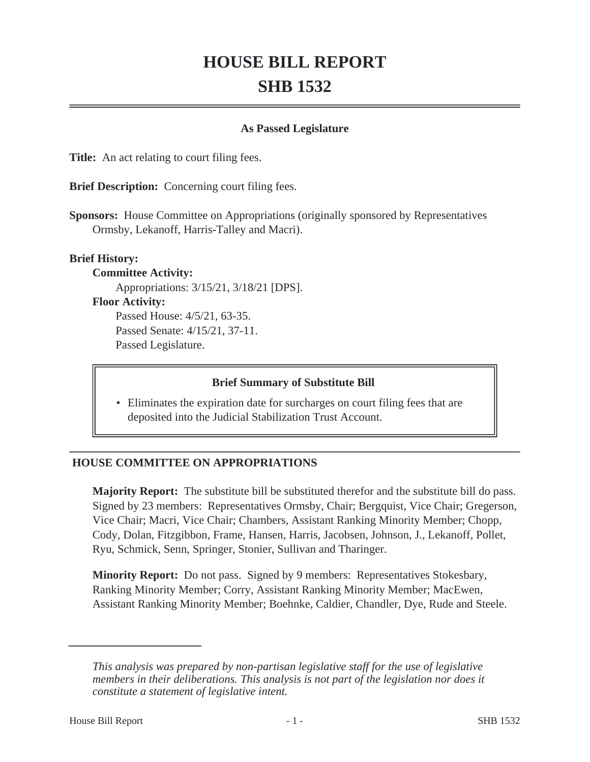# **HOUSE BILL REPORT SHB 1532**

### **As Passed Legislature**

**Title:** An act relating to court filing fees.

**Brief Description:** Concerning court filing fees.

**Sponsors:** House Committee on Appropriations (originally sponsored by Representatives Ormsby, Lekanoff, Harris-Talley and Macri).

#### **Brief History:**

**Committee Activity:**

Appropriations: 3/15/21, 3/18/21 [DPS].

#### **Floor Activity:**

Passed House: 4/5/21, 63-35. Passed Senate: 4/15/21, 37-11. Passed Legislature.

#### **Brief Summary of Substitute Bill**

• Eliminates the expiration date for surcharges on court filing fees that are deposited into the Judicial Stabilization Trust Account.

# **HOUSE COMMITTEE ON APPROPRIATIONS**

**Majority Report:** The substitute bill be substituted therefor and the substitute bill do pass. Signed by 23 members: Representatives Ormsby, Chair; Bergquist, Vice Chair; Gregerson, Vice Chair; Macri, Vice Chair; Chambers, Assistant Ranking Minority Member; Chopp, Cody, Dolan, Fitzgibbon, Frame, Hansen, Harris, Jacobsen, Johnson, J., Lekanoff, Pollet, Ryu, Schmick, Senn, Springer, Stonier, Sullivan and Tharinger.

**Minority Report:** Do not pass. Signed by 9 members: Representatives Stokesbary, Ranking Minority Member; Corry, Assistant Ranking Minority Member; MacEwen, Assistant Ranking Minority Member; Boehnke, Caldier, Chandler, Dye, Rude and Steele.

*This analysis was prepared by non-partisan legislative staff for the use of legislative members in their deliberations. This analysis is not part of the legislation nor does it constitute a statement of legislative intent.*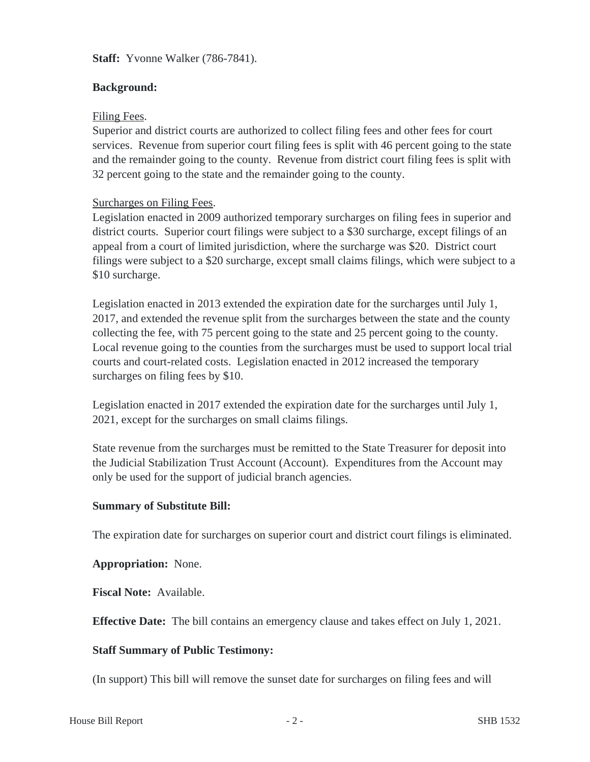**Staff:** Yvonne Walker (786-7841).

# **Background:**

# Filing Fees.

Superior and district courts are authorized to collect filing fees and other fees for court services. Revenue from superior court filing fees is split with 46 percent going to the state and the remainder going to the county. Revenue from district court filing fees is split with 32 percent going to the state and the remainder going to the county.

# Surcharges on Filing Fees.

Legislation enacted in 2009 authorized temporary surcharges on filing fees in superior and district courts. Superior court filings were subject to a \$30 surcharge, except filings of an appeal from a court of limited jurisdiction, where the surcharge was \$20. District court filings were subject to a \$20 surcharge, except small claims filings, which were subject to a \$10 surcharge.

Legislation enacted in 2013 extended the expiration date for the surcharges until July 1, 2017, and extended the revenue split from the surcharges between the state and the county collecting the fee, with 75 percent going to the state and 25 percent going to the county. Local revenue going to the counties from the surcharges must be used to support local trial courts and court-related costs. Legislation enacted in 2012 increased the temporary surcharges on filing fees by \$10.

Legislation enacted in 2017 extended the expiration date for the surcharges until July 1, 2021, except for the surcharges on small claims filings.

State revenue from the surcharges must be remitted to the State Treasurer for deposit into the Judicial Stabilization Trust Account (Account). Expenditures from the Account may only be used for the support of judicial branch agencies.

# **Summary of Substitute Bill:**

The expiration date for surcharges on superior court and district court filings is eliminated.

# **Appropriation:** None.

**Fiscal Note:** Available.

**Effective Date:** The bill contains an emergency clause and takes effect on July 1, 2021.

# **Staff Summary of Public Testimony:**

(In support) This bill will remove the sunset date for surcharges on filing fees and will